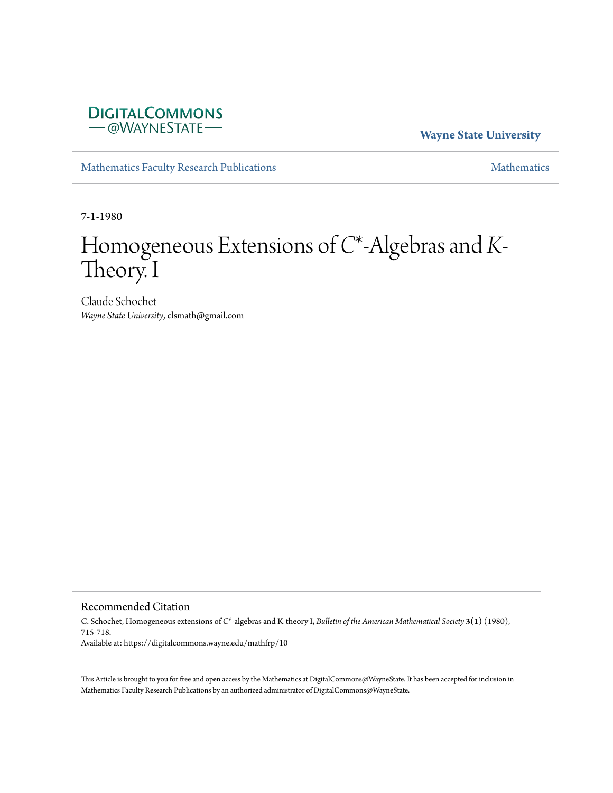

**Wayne State University**

[Mathematics Faculty Research Publications](https://digitalcommons.wayne.edu/mathfrp) **[Mathematics](https://digitalcommons.wayne.edu/math)** Mathematics

7-1-1980

# Homogeneous Extensions of *C*\*-Algebras and *K*-Theory. I

Claude Schochet *Wayne State University*, clsmath@gmail.com

Recommended Citation

C. Schochet, Homogeneous extensions of *C*\*-algebras and K-theory I, *Bulletin of the American Mathematical Society* **3(1)** (1980), 715-718. Available at: https://digitalcommons.wayne.edu/mathfrp/10

This Article is brought to you for free and open access by the Mathematics at DigitalCommons@WayneState. It has been accepted for inclusion in Mathematics Faculty Research Publications by an authorized administrator of DigitalCommons@WayneState.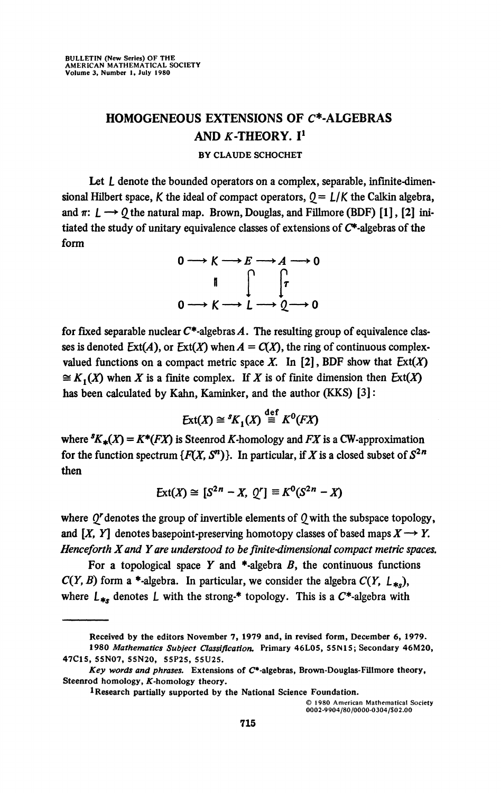## **HOMOGENEOUS EXTENSIONS OF C\*-ALGEBRAS AND K-THEORY.** I<sup>1</sup>

### **BY CLAUDE SCHOCHET**

Let L denote the bounded operators on a complex, separable, infinite-dimensional Hilbert space, K the ideal of compact operators,  $0 = L/K$  the Calkin algebra, and  $\pi$ :  $\mathcal{L} \longrightarrow \mathcal{Q}$  the natural map. Brown, Douglas, and Fillmore (BDF) [1], [2] initiated the study of unitary equivalence classes of extensions of  $C^*$ -algebras of the form

$$
0 \longrightarrow K \longrightarrow E \longrightarrow A \longrightarrow 0
$$
  
\n
$$
\parallel \qquad \qquad \parallel \qquad \qquad \uparrow \qquad \qquad
$$
  
\n
$$
0 \longrightarrow K \longrightarrow L \longrightarrow Q \longrightarrow 0
$$

for fixed separable nuclear  $C^*$ -algebras A. The resulting group of equivalence classes is denoted  $Ext(A)$ , or  $Ext(X)$  when  $A = C(X)$ , the ring of continuous complexvalued functions on a compact metric space X. In [2], BDF show that  $Ext(X)$  $\cong K_t(X)$  when X is a finite complex. If X is of finite dimension then  $Ext(X)$ has been calculated by Kahn, Kaminker, and the author (KKS) [3]:

$$
Ext(X) \cong {}^{s}K_1(X) \stackrel{\text{def}}{=} K^0(FX)
$$

where  ${}^sK_*(X) = K^*(FX)$  is Steenrod *K*-homology and *FX* is a CW-approximation for the function spectrum  $\{F(X, S^n)\}$ . In particular, if X is a closed subset of  $S^{2n}$ then

$$
Ext(X) \cong [S^{2n} - X, Q^r] \equiv K^0(S^{2n} - X)
$$

where  $Q^r$  denotes the group of invertible elements of  $Q$  with the subspace topology, and  $[X, Y]$  denotes basepoint-preserving homotopy classes of based maps  $X \rightarrow Y$ . *Henceforth Xand Y are understood to be finite-dimensional compact metric spaces.* 

For a topological space Y and  $*$ -algebra B, the continuous functions  $C(Y, B)$  form a \*-algebra. In particular, we consider the algebra  $C(Y, L_{\ast})$ , where  $L_{**}$  denotes L with the strong-\* topology. This is a  $C^*$ -algebra with

© 1980 American Mathematical Society 0002-9904/80/0000-0304/\$02.00

**Received by the editors November 7, 1979 and, in revised form, December 6, 1979.** 

**<sup>1980</sup>** *Mathematics Subject Classification.* **Primary 46L05, S5IM15; Secondary 46M20, 47C15, 55N07, 55N20, 55P25, 55U25.** 

*Key words and phrases.* **Extensions of** *C\****-algebras, Brown-Douglas-Fillmore theory,**  Steenrod homology, *K*-homology theory.

**<sup>1</sup> Research partially supported by the National Science Foundation.**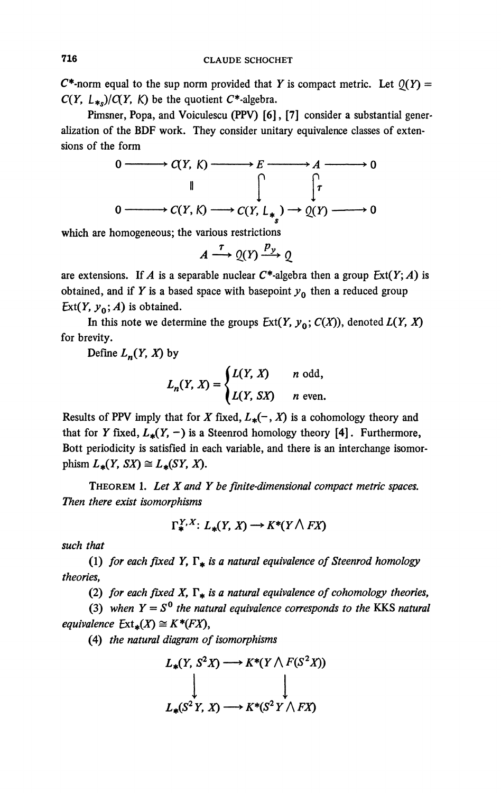**C\*-norm equal to the sup norm provided that** *Y* **is compact metric. Let**  $Q(Y)$  **=** *C(Y, L*\*<sub>*s*</sub> $)/C(Y, K)$  be the quotient *C*\*-algebra.

**Pimsner, Popa, and Voiculescu (PPV) [6], [7] consider a substantial generalization of the BDF work. They consider unitary equivalence classes of extensions of the form** 

$$
0 \longrightarrow C(Y, K) \longrightarrow E \longrightarrow A \longrightarrow 0
$$
  
\n
$$
\downarrow \qquad \qquad \downarrow \qquad \qquad \downarrow
$$
  
\n
$$
0 \longrightarrow C(Y, K) \longrightarrow C(Y, L_{*}) \longrightarrow Q(Y) \longrightarrow 0
$$

**which are homogeneous; the various restrictions** 

$$
A \xrightarrow{\tau} \mathcal{Q}(Y) \xrightarrow{p_y} \mathcal{Q}
$$

are extensions. If *A* is a separable nuclear  $C^*$ -algebra then a group  $Ext(Y; A)$  is **obtained, and if** *Y* is a based space with basepoint  $y_0$  then a reduced group *Ext(Y, y*<sup> $0$ </sup>, *A*) is obtained.

In this note we determine the groups  $Ext(Y, y_0; C(X))$ , denoted  $L(Y, X)$ **for brevity.** 

Define  $L_n(Y, X)$  by

$$
L_n(Y, X) = \begin{cases} L(Y, X) & n \text{ odd,} \\ L(Y, SX) & n \text{ even.} \end{cases}
$$

**Results of PPV imply that for** *X* **fixed,**  $L_*(-, X)$  **is a cohomology theory and** that for *Y* fixed,  $L_*(Y, -)$  is a Steenrod homology theory [4]. Furthermore, **Bott periodicity is satisfied in each variable, and there is an interchange isomor**phism  $L_*(Y, SX) \cong L_*(SY, X)$ .

**THEOREM 1.** *Let X and Y be finite-dimensional compact metric spaces. Then there exist isomorphisms* 

$$
\Gamma^{Y,X}_{*}: L_{*}(Y,X) \longrightarrow K^{*}(Y \wedge FX)
$$

*such that* 

(1) for each fixed Y,  $\Gamma_*$  is a natural equivalence of Steenrod homology *theories,* 

(2) for each fixed X,  $\Gamma_*$  is a natural equivalence of cohomology theories,

(3) when  $Y = S^0$  the natural equivalence corresponds to the KKS natural *equivalence*  $Ext_*(X) \cong K^*(FX)$ ,

**(4)** *the natural diagram of isomorphisms* 

$$
L_*(Y, S^2X) \longrightarrow K^*(Y \wedge F(S^2X))
$$
  
\n
$$
\downarrow \qquad \qquad \downarrow
$$
  
\n
$$
L_*(S^2Y, X) \longrightarrow K^*(S^2Y \wedge FX)
$$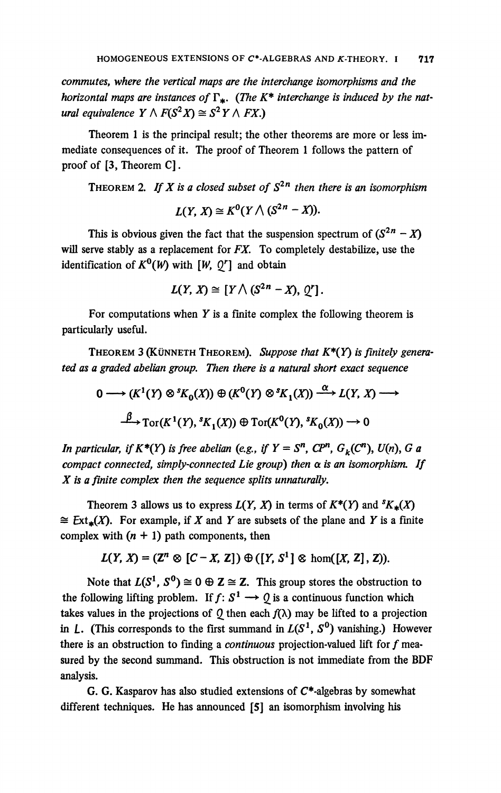*commutes, where the vertical maps are the interchange isomorphisms and the horizontal maps are instances of*  $\Gamma_*$ . (*The K<sup>\*</sup> interchange is induced by the natural equivalence*  $Y \wedge F(S^2 X) \cong S^2 Y \wedge FX$ .)

**Theorem 1 is the principal result; the other theorems are more or less immediate consequences of it. The proof of Theorem 1 follows the pattern of proof of [3, Theorem C].** 

**THEOREM** 2. If X is a closed subset of  $S^{2n}$  then there is an isomorphism

$$
L(Y, X) \cong K^0(Y \wedge (S^{2n} - X)).
$$

This is obvious given the fact that the suspension spectrum of  $(S^{2n} - X)$ **will serve stably as a replacement for** *FX.* **To completely destabilize, use the identification of**  $K^0(W)$  with  $[W, 0^r]$  and obtain

$$
L(Y, X) \cong [Y \wedge (S^{2n} - X), Q'].
$$

For computations when  $Y$  is a finite complex the following theorem is **particularly useful.** 

**THEOREM 3 (KÜNNETH THEOREM).** *Suppose that K\*(Y) is finitely generated as a graded abelian group. Then there is a natural short exact sequence* 

 $0 \longrightarrow (K^1(Y) \otimes {}^s K_0(X)) \oplus (K^0(Y) \otimes {}^s K_1(X)) \xrightarrow{\alpha} L(Y, X) \longrightarrow$  $\rightarrow$   $\text{Tor}(K^1(Y), {}^sK_1(X)) \oplus \text{Tor}(K^0(Y), {}^sK_0(X)) \rightarrow 0$ 

*In particular, if*  $K^*(Y)$  *is free abelian* (*e.g., if*  $Y = S^n$ ,  $CP^n$ ,  $G_k(C^n)$ ,  $U(n)$ ,  $G$  *a compact connected, simply-connected Lie group) then a is an isomorphism. If X is a finite complex then the sequence splits unnaturally.* 

Theorem 3 allows us to express  $L(Y, X)$  in terms of  $K^*(Y)$  and  ${}^sK_*(X)$  $\cong$  **Ext**<sub>\*</sub>(*X*). For example, if *X* and *Y* are subsets of the plane and *Y* is a finite complex with  $(n + 1)$  path components, then

$$
L(Y, X) = (\mathbb{Z}^n \otimes [C - X, Z]) \oplus ([Y, S^1] \otimes \text{hom}([X, Z], Z)).
$$

Note that  $L(S^1, S^0) \cong O \oplus \mathbb{Z} \cong \mathbb{Z}$ . This group stores the obstruction to the following lifting problem. If  $f: S^1 \longrightarrow Q$  is a continuous function which takes values in the projections of  $\theta$  then each  $f(\lambda)$  may be lifted to a projection in  $L$ . (This corresponds to the first summand in  $L(S^1, S^0)$  vanishing.) However **there is an obstruction to finding a** *continuous* **projection-valued lift for ƒ measured by the second summand. This obstruction is not immediate from the BDF analysis.** 

**G. G. Kasparov has also studied extensions of C\*-algebras by somewhat different techniques. He has announced [5] an isomorphism involving his**